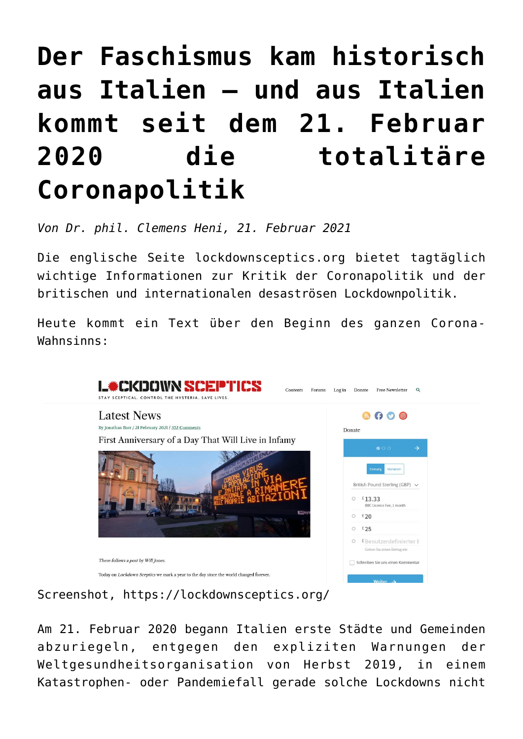## **[Der Faschismus kam historisch](https://www.clemensheni.net/der-faschismus-kam-historisch-aus-italien-und-aus-italien-kommt-seit-dem-21-februar-2020-die-totalitaere-coronapolitik/) [aus Italien – und aus Italien](https://www.clemensheni.net/der-faschismus-kam-historisch-aus-italien-und-aus-italien-kommt-seit-dem-21-februar-2020-die-totalitaere-coronapolitik/) [kommt seit dem 21. Februar](https://www.clemensheni.net/der-faschismus-kam-historisch-aus-italien-und-aus-italien-kommt-seit-dem-21-februar-2020-die-totalitaere-coronapolitik/) [2020 die totalitäre](https://www.clemensheni.net/der-faschismus-kam-historisch-aus-italien-und-aus-italien-kommt-seit-dem-21-februar-2020-die-totalitaere-coronapolitik/) [Coronapolitik](https://www.clemensheni.net/der-faschismus-kam-historisch-aus-italien-und-aus-italien-kommt-seit-dem-21-februar-2020-die-totalitaere-coronapolitik/)**

*Von Dr. phil. Clemens Heni, 21. Februar 2021*

Die englische Seite [lockdownsceptics.org](https://lockdownsceptics.org/) bietet tagtäglich wichtige Informationen zur Kritik der Coronapolitik und der britischen und internationalen desaströsen Lockdownpolitik.

Heute kommt ein Text über den Beginn des ganzen Corona-Wahnsinns:



Screenshot,<https://lockdownsceptics.org/>

Am 21. Februar 2020 begann Italien erste Städte und Gemeinden abzuriegeln, entgegen den expliziten Warnungen der Weltgesundheitsorganisation von Herbst 2019, in einem Katastrophen- oder Pandemiefall gerade solche Lockdowns nicht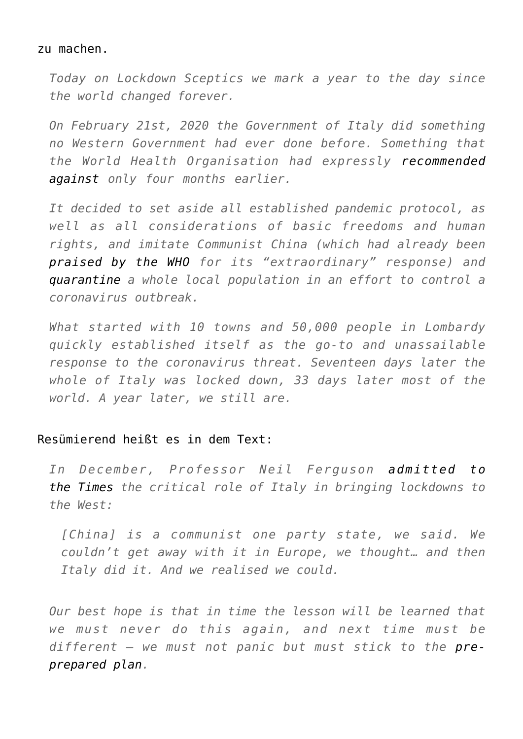## zu machen.

*Today on Lockdown Sceptics we mark a year to the day since the world changed forever.*

*On February 21st, 2020 the Government of Italy did something no Western Government had ever done before. Something that the World Health Organisation had expressly [recommended](https://www.who.int/influenza/publications/public_health_measures/publication/en/) [against](https://www.who.int/influenza/publications/public_health_measures/publication/en/) only four months earlier.*

*It decided to set aside all established pandemic protocol, as well as all considerations of basic freedoms and human rights, and imitate Communist China (which had already been [praised by the WHO](https://www.reuters.com/article/us-china-health-who-idUSKBN1ZS2EE) for its "extraordinary" response) and [quarantine](https://milano.repubblica.it/cronaca/2020/02/21/news/coronavirus_codogno_castiglione_d_adda_contagiati_misure_sicurezza-249154447/) a whole local population in an effort to control a coronavirus outbreak.*

*What started with 10 towns and 50,000 people in Lombardy quickly established itself as the go-to and unassailable response to the coronavirus threat. Seventeen days later the whole of Italy was locked down, 33 days later most of the world. A year later, we still are.*

## Resümierend heißt es in dem Text:

*In December, Professor Neil Ferguson [admitted to](https://unherd.com/thepost/neil-ferguson-interview-china-changed-what-was-possible/) [the Times](https://unherd.com/thepost/neil-ferguson-interview-china-changed-what-was-possible/) the critical role of Italy in bringing lockdowns to the West:*

*[China] is a communist one party state, we said. We couldn't get away with it in Europe, we thought… and then Italy did it. And we realised we could.*

*Our best hope is that in time the lesson will be learned that we must never do this again, and next time must be different – we must not panic but must stick to the [pre](https://www.theguardian.com/world/ng-interactive/2020/feb/27/what-are-the-uks-plans-for-dealing-with-a-pandemic-virus)[prepared plan.](https://www.theguardian.com/world/ng-interactive/2020/feb/27/what-are-the-uks-plans-for-dealing-with-a-pandemic-virus)*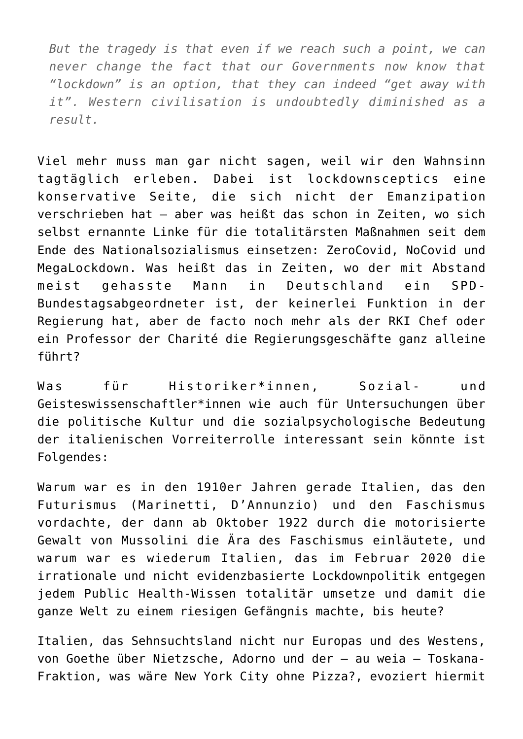*But the tragedy is that even if we reach such a point, we can never change the fact that our Governments now know that "lockdown" is an option, that they can indeed "get away with it". Western civilisation is undoubtedly diminished as a result.*

Viel mehr muss man gar nicht sagen, weil wir den Wahnsinn tagtäglich erleben. Dabei ist lockdownsceptics eine konservative Seite, die sich nicht der Emanzipation verschrieben hat – aber was heißt das schon in Zeiten, wo sich selbst ernannte Linke für die totalitärsten Maßnahmen seit dem Ende des Nationalsozialismus einsetzen: ZeroCovid, NoCovid und MegaLockdown. Was heißt das in Zeiten, wo der mit Abstand meist gehasste Mann in Deutschland ein SPD-Bundestagsabgeordneter ist, der keinerlei Funktion in der Regierung hat, aber de facto noch mehr als der RKI Chef oder ein Professor der Charité die Regierungsgeschäfte ganz alleine führt?

Was für Historiker\*innen, Sozial- und Geisteswissenschaftler\*innen wie auch für Untersuchungen über die politische Kultur und die sozialpsychologische Bedeutung der italienischen Vorreiterrolle interessant sein könnte ist Folgendes:

Warum war es in den 1910er Jahren gerade Italien, das den Futurismus (Marinetti, D'Annunzio) und den Faschismus vordachte, der dann ab Oktober 1922 durch die motorisierte Gewalt von Mussolini die Ära des Faschismus einläutete, und warum war es wiederum Italien, das im Februar 2020 die irrationale und nicht evidenzbasierte Lockdownpolitik entgegen jedem Public Health-Wissen totalitär umsetze und damit die ganze Welt zu einem riesigen Gefängnis machte, bis heute?

Italien, das Sehnsuchtsland nicht nur Europas und des Westens, von Goethe über Nietzsche, Adorno und der – au weia – Toskana-Fraktion, was wäre New York City ohne Pizza?, evoziert hiermit